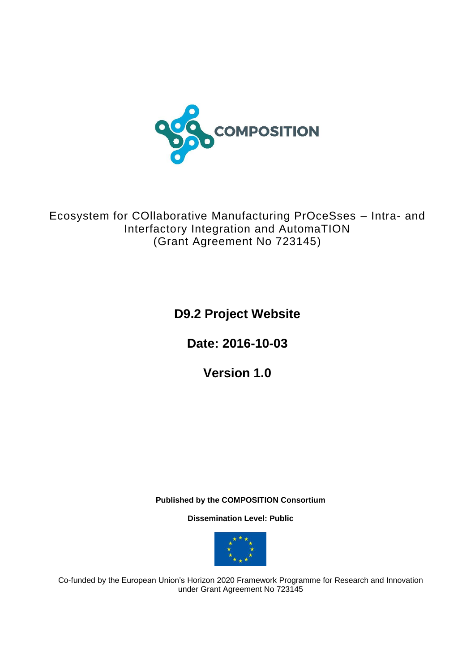

Ecosystem for COllaborative Manufacturing PrOceSses – Intra- and Interfactory Integration and AutomaTION (Grant Agreement No 723145)

**D9.2 Project Website**

**Date: 2016-10-03**

**Version 1.0**

**Published by the COMPOSITION Consortium** 

**Dissemination Level: Public**



Co-funded by the European Union's Horizon 2020 Framework Programme for Research and Innovation under Grant Agreement No 723145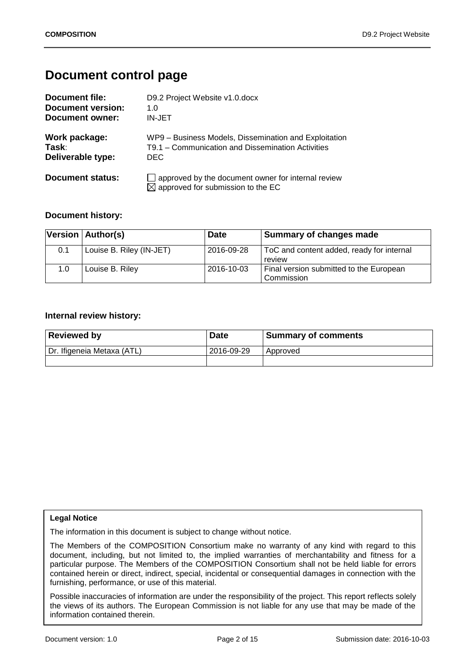# **Document control page**

| <b>Document file:</b>    | D9.2 Project Website v1.0.docx                                                                      |
|--------------------------|-----------------------------------------------------------------------------------------------------|
| <b>Document version:</b> | 1.0                                                                                                 |
| Document owner:          | IN-JET                                                                                              |
| Work package:            | WP9 - Business Models, Dissemination and Exploitation                                               |
| Task:                    | T9.1 - Communication and Dissemination Activities                                                   |
| Deliverable type:        | DEC.                                                                                                |
| Document status:         | approved by the document owner for internal review<br>$\boxtimes$ approved for submission to the EC |

### **Document history:**

|     | Version   Author(s)      | <b>Date</b> | <b>Summary of changes made</b>                        |
|-----|--------------------------|-------------|-------------------------------------------------------|
| 0.1 | Louise B. Riley (IN-JET) | 2016-09-28  | ToC and content added, ready for internal<br>review   |
| 1.0 | Louise B. Riley          | 2016-10-03  | Final version submitted to the European<br>Commission |

#### **Internal review history:**

| <b>Reviewed by</b>         | <b>Date</b> | <b>Summary of comments</b> |
|----------------------------|-------------|----------------------------|
| Dr. Ifigeneia Metaxa (ATL) | 2016-09-29  | Approved                   |
|                            |             |                            |

#### **Legal Notice**

The information in this document is subject to change without notice.

The Members of the COMPOSITION Consortium make no warranty of any kind with regard to this document, including, but not limited to, the implied warranties of merchantability and fitness for a particular purpose. The Members of the COMPOSITION Consortium shall not be held liable for errors contained herein or direct, indirect, special, incidental or consequential damages in connection with the furnishing, performance, or use of this material.

**Index:** the views of its authors. The European Commission is not liable for any use that may be made of the Possible inaccuracies of information are under the responsibility of the project. This report reflects solely information contained therein.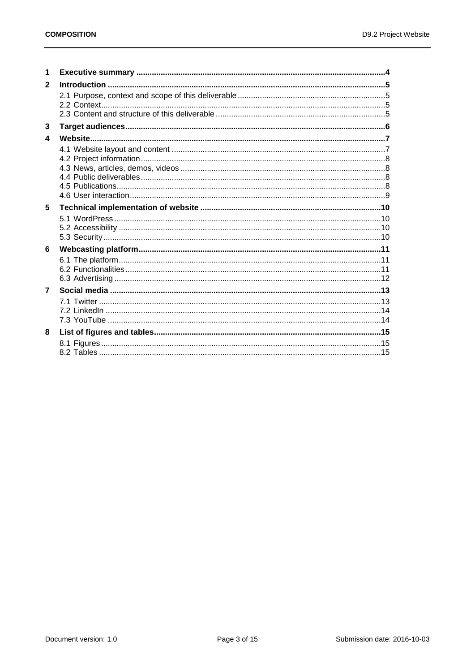| 1                       |  |
|-------------------------|--|
| $\mathbf{2}$            |  |
|                         |  |
|                         |  |
|                         |  |
| 3                       |  |
| $\overline{\mathbf{4}}$ |  |
|                         |  |
|                         |  |
|                         |  |
|                         |  |
|                         |  |
|                         |  |
| 5                       |  |
|                         |  |
|                         |  |
|                         |  |
| 6                       |  |
|                         |  |
|                         |  |
|                         |  |
| $\overline{7}$          |  |
|                         |  |
|                         |  |
|                         |  |
| 8                       |  |
|                         |  |
|                         |  |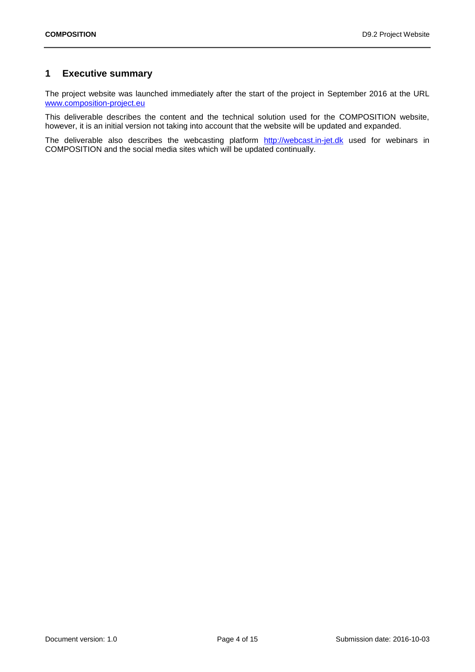# <span id="page-3-0"></span>**1 Executive summary**

The project website was launched immediately after the start of the project in September 2016 at the URL [www.composition-project.eu](http://www.composition-project.eu/)

This deliverable describes the content and the technical solution used for the COMPOSITION website, however, it is an initial version not taking into account that the website will be updated and expanded.

The deliverable also describes the webcasting platform [http://webcast.in-jet.dk](http://webcast.in-jet.dk/) used for webinars in COMPOSITION and the social media sites which will be updated continually.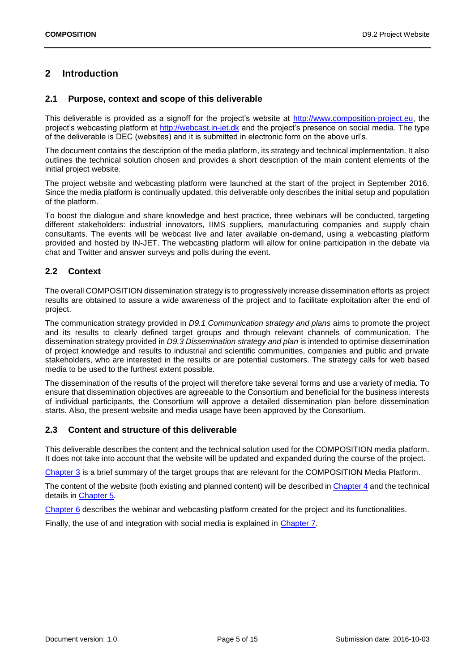# <span id="page-4-0"></span>**2 Introduction**

### <span id="page-4-1"></span>**2.1 Purpose, context and scope of this deliverable**

This deliverable is provided as a signoff for the project's website at [http://www.composition-project.eu,](http://www.composition-project.eu/) the project's webcasting platform at [http://webcast.in-jet.dk](http://webcast.in-jet.dk/) and the project's presence on social media. The type of the deliverable is DEC (websites) and it is submitted in electronic form on the above url's.

The document contains the description of the media platform, its strategy and technical implementation. It also outlines the technical solution chosen and provides a short description of the main content elements of the initial project website.

The project website and webcasting platform were launched at the start of the project in September 2016. Since the media platform is continually updated, this deliverable only describes the initial setup and population of the platform.

To boost the dialogue and share knowledge and best practice, three webinars will be conducted, targeting different stakeholders: industrial innovators, IIMS suppliers, manufacturing companies and supply chain consultants. The events will be webcast live and later available on-demand, using a webcasting platform provided and hosted by IN-JET. The webcasting platform will allow for online participation in the debate via chat and Twitter and answer surveys and polls during the event.

# <span id="page-4-2"></span>**2.2 Context**

The overall COMPOSITION dissemination strategy is to progressively increase dissemination efforts as project results are obtained to assure a wide awareness of the project and to facilitate exploitation after the end of project.

The communication strategy provided in *D9.1 Communication strategy and plans* aims to promote the project and its results to clearly defined target groups and through relevant channels of communication. The dissemination strategy provided in *D9.3 Dissemination strategy and plan* is intended to optimise dissemination of project knowledge and results to industrial and scientific communities, companies and public and private stakeholders, who are interested in the results or are potential customers. The strategy calls for web based media to be used to the furthest extent possible.

The dissemination of the results of the project will therefore take several forms and use a variety of media. To ensure that dissemination objectives are agreeable to the Consortium and beneficial for the business interests of individual participants, the Consortium will approve a detailed dissemination plan before dissemination starts. Also, the present website and media usage have been approved by the Consortium.

# <span id="page-4-3"></span>**2.3 Content and structure of this deliverable**

This deliverable describes the content and the technical solution used for the COMPOSITION media platform. It does not take into account that the website will be updated and expanded during the course of the project.

[Chapter 3](#page-5-0) is a brief summary of the target groups that are relevant for the COMPOSITION Media Platform.

The content of the website (both existing and planned content) will be described in [Chapter 4](#page-6-0) and the technical details in [Chapter 5.](#page-9-0)

[Chapter 6](#page-10-0) describes the webinar and webcasting platform created for the project and its functionalities.

Finally, the use of and integration with social media is explained in [Chapter 7.](#page-12-0)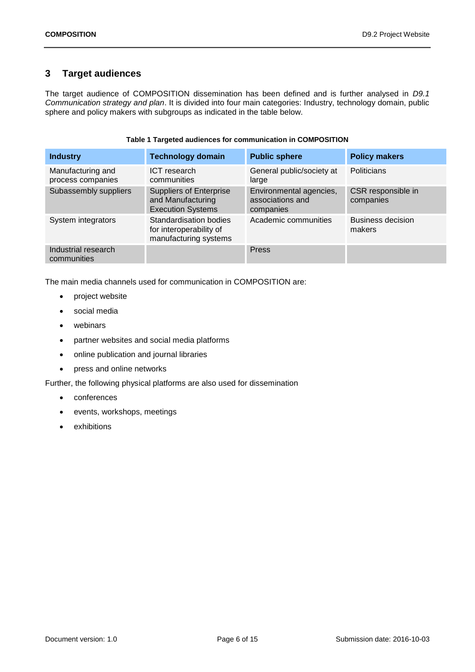# <span id="page-5-0"></span>**3 Target audiences**

The target audience of COMPOSITION dissemination has been defined and is further analysed in *D9.1 Communication strategy and plan*. It is divided into four main categories: Industry, technology domain, public sphere and policy makers with subgroups as indicated in the table below.

|  | Table 1 Targeted audiences for communication in COMPOSITION |  |
|--|-------------------------------------------------------------|--|
|  |                                                             |  |

<span id="page-5-1"></span>

| <b>Industry</b>                        | <b>Technology domain</b>                                                        | <b>Public sphere</b>                                     | <b>Policy makers</b>               |
|----------------------------------------|---------------------------------------------------------------------------------|----------------------------------------------------------|------------------------------------|
| Manufacturing and<br>process companies | ICT research<br>communities                                                     | General public/society at<br>large                       | <b>Politicians</b>                 |
| Subassembly suppliers                  | <b>Suppliers of Enterprise</b><br>and Manufacturing<br><b>Execution Systems</b> | Environmental agencies,<br>associations and<br>companies | CSR responsible in<br>companies    |
| System integrators                     | Standardisation bodies<br>for interoperability of<br>manufacturing systems      | Academic communities                                     | <b>Business decision</b><br>makers |
| Industrial research<br>communities     |                                                                                 | <b>Press</b>                                             |                                    |

The main media channels used for communication in COMPOSITION are:

- project website
- social media
- webinars
- partner websites and social media platforms
- online publication and journal libraries
- press and online networks

Further, the following physical platforms are also used for dissemination

- conferences
- events, workshops, meetings
- exhibitions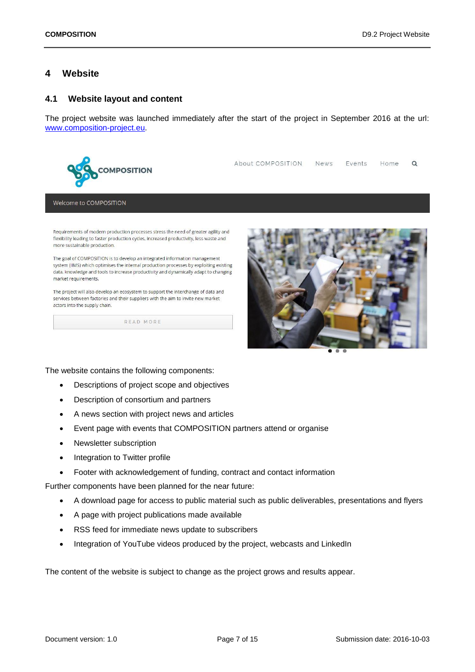# <span id="page-6-0"></span>**4 Website**

#### <span id="page-6-1"></span>**4.1 Website layout and content**

The project website was launched immediately after the start of the project in September 2016 at the url: [www.composition-project.eu.](http://www.composition-project.eu/)



About COMPOSITION News Events Home  $\mathsf Q$ 

Welcome to COMPOSITION

Requirements of modern production processes stress the need of greater agility and flexibility leading to faster production cycles, increased productivity, less waste and more sustainable production.

The goal of COMPOSITION is to develop an integrated information management system (IIMS) which optimises the internal production processes by exploiting existing data, knowledge and tools to increase productivity and dynamically adapt to changing market requirements.

The project will also develop an ecosystem to support the interchange of data and services between factories and their suppliers with the aim to invite new market actors into the supply chain.

READ MORE



The website contains the following components:

- Descriptions of project scope and objectives
- Description of consortium and partners
- A news section with project news and articles
- Event page with events that COMPOSITION partners attend or organise
- Newsletter subscription
- Integration to Twitter profile
- Footer with acknowledgement of funding, contract and contact information

Further components have been planned for the near future:

- A download page for access to public material such as public deliverables, presentations and flyers
- A page with project publications made available
- RSS feed for immediate news update to subscribers
- Integration of YouTube videos produced by the project, webcasts and LinkedIn

The content of the website is subject to change as the project grows and results appear.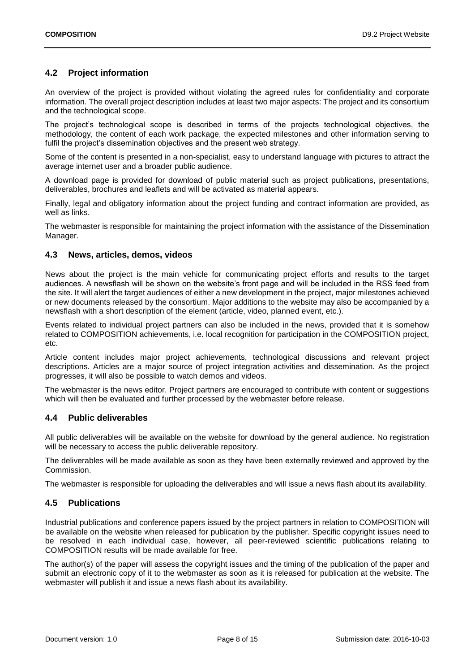# <span id="page-7-0"></span>**4.2 Project information**

An overview of the project is provided without violating the agreed rules for confidentiality and corporate information. The overall project description includes at least two major aspects: The project and its consortium and the technological scope.

The project's technological scope is described in terms of the projects technological objectives, the methodology, the content of each work package, the expected milestones and other information serving to fulfil the project's dissemination objectives and the present web strategy.

Some of the content is presented in a non-specialist, easy to understand language with pictures to attract the average internet user and a broader public audience.

A download page is provided for download of public material such as project publications, presentations, deliverables, brochures and leaflets and will be activated as material appears.

Finally, legal and obligatory information about the project funding and contract information are provided, as well as links.

The webmaster is responsible for maintaining the project information with the assistance of the Dissemination Manager.

#### <span id="page-7-1"></span>**4.3 News, articles, demos, videos**

News about the project is the main vehicle for communicating project efforts and results to the target audiences. A newsflash will be shown on the website's front page and will be included in the RSS feed from the site. It will alert the target audiences of either a new development in the project, major milestones achieved or new documents released by the consortium. Major additions to the website may also be accompanied by a newsflash with a short description of the element (article, video, planned event, etc.).

Events related to individual project partners can also be included in the news, provided that it is somehow related to COMPOSITION achievements, i.e. local recognition for participation in the COMPOSITION project, etc.

Article content includes major project achievements, technological discussions and relevant project descriptions. Articles are a major source of project integration activities and dissemination. As the project progresses, it will also be possible to watch demos and videos.

The webmaster is the news editor. Project partners are encouraged to contribute with content or suggestions which will then be evaluated and further processed by the webmaster before release.

#### <span id="page-7-2"></span>**4.4 Public deliverables**

All public deliverables will be available on the website for download by the general audience. No registration will be necessary to access the public deliverable repository.

The deliverables will be made available as soon as they have been externally reviewed and approved by the Commission.

The webmaster is responsible for uploading the deliverables and will issue a news flash about its availability.

#### <span id="page-7-3"></span>**4.5 Publications**

Industrial publications and conference papers issued by the project partners in relation to COMPOSITION will be available on the website when released for publication by the publisher. Specific copyright issues need to be resolved in each individual case, however, all peer-reviewed scientific publications relating to COMPOSITION results will be made available for free.

The author(s) of the paper will assess the copyright issues and the timing of the publication of the paper and submit an electronic copy of it to the webmaster as soon as it is released for publication at the website. The webmaster will publish it and issue a news flash about its availability.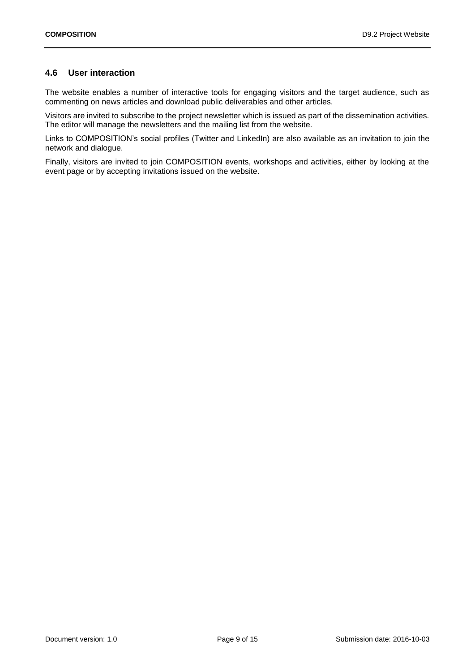### <span id="page-8-0"></span>**4.6 User interaction**

The website enables a number of interactive tools for engaging visitors and the target audience, such as commenting on news articles and download public deliverables and other articles.

Visitors are invited to subscribe to the project newsletter which is issued as part of the dissemination activities. The editor will manage the newsletters and the mailing list from the website.

Links to COMPOSITION's social profiles (Twitter and LinkedIn) are also available as an invitation to join the network and dialogue.

Finally, visitors are invited to join COMPOSITION events, workshops and activities, either by looking at the event page or by accepting invitations issued on the website.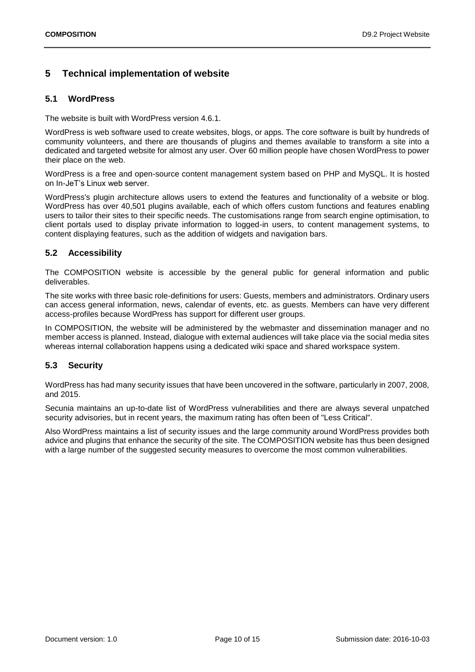# <span id="page-9-0"></span>**5 Technical implementation of website**

### <span id="page-9-1"></span>**5.1 WordPress**

The website is built with WordPress version 4.6.1.

WordPress is web software used to create websites, blogs, or apps. The core software is built by hundreds of community volunteers, and there are thousands of plugins and themes available to transform a site into a dedicated and targeted website for almost any user. Over 60 million people have chosen WordPress to power their place on the web.

WordPress is a free and open-source content management system based on PHP and MySQL. It is hosted on In-JeT's Linux web server.

WordPress's plugin architecture allows users to extend the features and functionality of a website or blog. WordPress has over 40,501 plugins available, each of which offers custom functions and features enabling users to tailor their sites to their specific needs. The customisations range from search engine optimisation, to client portals used to display private information to logged-in users, to content management systems, to content displaying features, such as the addition of widgets and navigation bars.

# <span id="page-9-2"></span>**5.2 Accessibility**

The COMPOSITION website is accessible by the general public for general information and public deliverables.

The site works with three basic role-definitions for users: Guests, members and administrators. Ordinary users can access general information, news, calendar of events, etc. as guests. Members can have very different access-profiles because WordPress has support for different user groups.

In COMPOSITION, the website will be administered by the webmaster and dissemination manager and no member access is planned. Instead, dialogue with external audiences will take place via the social media sites whereas internal collaboration happens using a dedicated wiki space and shared workspace system.

# <span id="page-9-3"></span>**5.3 Security**

WordPress has had many security issues that have been uncovered in the software, particularly in 2007, 2008, and 2015.

Secunia maintains an up-to-date list of WordPress vulnerabilities and there are always several unpatched security advisories, but in recent years, the maximum rating has often been of "Less Critical".

Also WordPress maintains a list of security issues and the large community around WordPress provides both advice and plugins that enhance the security of the site. The COMPOSITION website has thus been designed with a large number of the suggested security measures to overcome the most common vulnerabilities.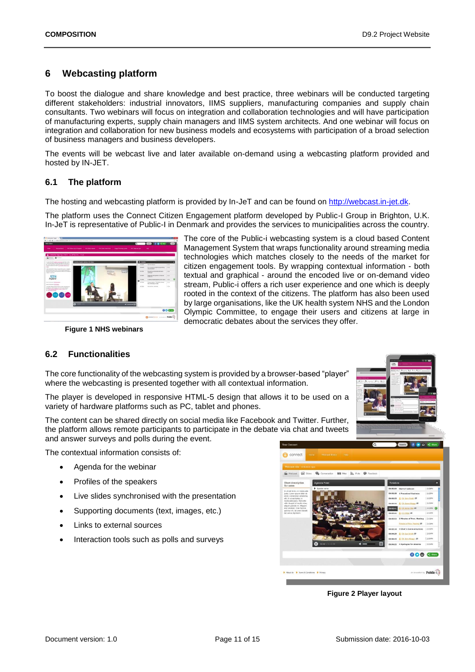# <span id="page-10-0"></span>**6 Webcasting platform**

To boost the dialogue and share knowledge and best practice, three webinars will be conducted targeting different stakeholders: industrial innovators, IIMS suppliers, manufacturing companies and supply chain consultants. Two webinars will focus on integration and collaboration technologies and will have participation of manufacturing experts, supply chain managers and IIMS system architects. And one webinar will focus on integration and collaboration for new business models and ecosystems with participation of a broad selection of business managers and business developers.

The events will be webcast live and later available on-demand using a webcasting platform provided and hosted by IN-JET.

#### <span id="page-10-1"></span>**6.1 The platform**

The hosting and webcasting platform is provided by In-JeT and can be found on [http://webcast.in-jet.dk.](http://webcast.in-jet.dk/)

The platform uses the Connect Citizen Engagement platform developed by Public-I Group in Brighton, U.K. In-JeT is representative of Public-I in Denmark and provides the services to municipalities across the country.



<span id="page-10-2"></span>**Figure 1 NHS webinars**

# <span id="page-10-3"></span>**6.2 Functionalities**

The core functionality of the webcasting system is provided by a browser-based "player" where the webcasting is presented together with all contextual information.

The player is developed in responsive HTML-5 design that allows it to be used on a variety of hardware platforms such as PC, tablet and phones.

The content can be shared directly on social media like Facebook and Twitter. Further, the platform allows remote participants to participate in the debate via chat and tweets and answer surveys and polls during the event.

The contextual information consists of:

- Agenda for the webinar
- Profiles of the speakers
- Live slides synchronised with the presentation
- Supporting documents (text, images, etc.)
- Links to external sources
- Interaction tools such as polls and surveys

<span id="page-10-4"></span>

 **Figure 2 Player layout**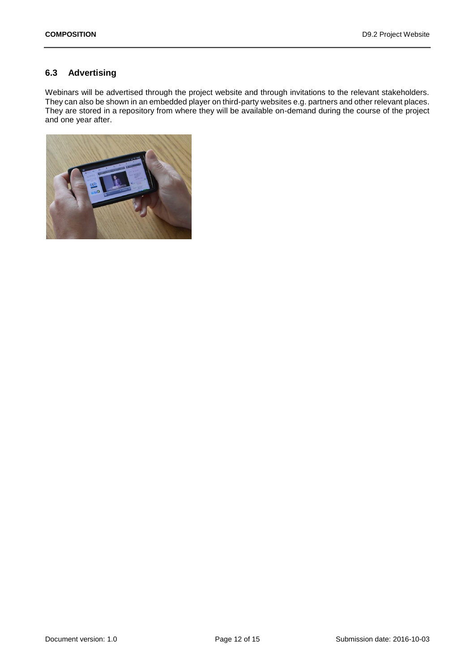# <span id="page-11-0"></span>**6.3 Advertising**

Webinars will be advertised through the project website and through invitations to the relevant stakeholders. They can also be shown in an embedded player on third-party websites e.g. partners and other relevant places. They are stored in a repository from where they will be available on-demand during the course of the project and one year after.

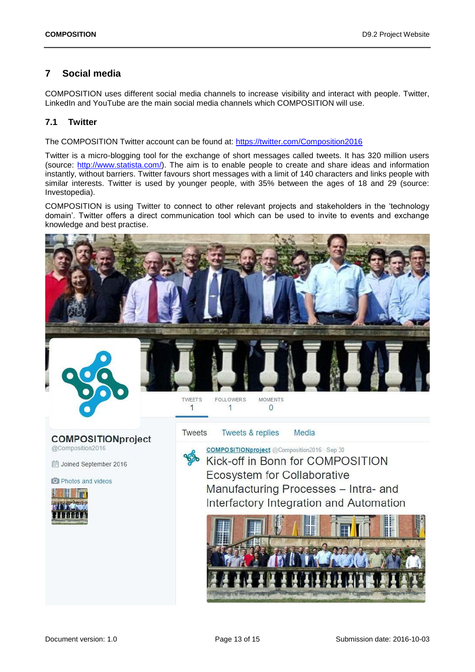# <span id="page-12-0"></span>**7 Social media**

COMPOSITION uses different social media channels to increase visibility and interact with people. Twitter, LinkedIn and YouTube are the main social media channels which COMPOSITION will use.

# <span id="page-12-1"></span>**7.1 Twitter**

The COMPOSITION Twitter account can be found at:<https://twitter.com/Composition2016>

Twitter is a micro-blogging tool for the exchange of short messages called tweets. It has 320 million users (source: [http://www.statista.com/\)](http://www.statista.com/). The aim is to enable people to create and share ideas and information instantly, without barriers. Twitter favours short messages with a limit of 140 characters and links people with similar interests. Twitter is used by younger people, with 35% between the ages of 18 and 29 (source: Investopedia).

COMPOSITION is using Twitter to connect to other relevant projects and stakeholders in the 'technology domain'. Twitter offers a direct communication tool which can be used to invite to events and exchange knowledge and best practise.

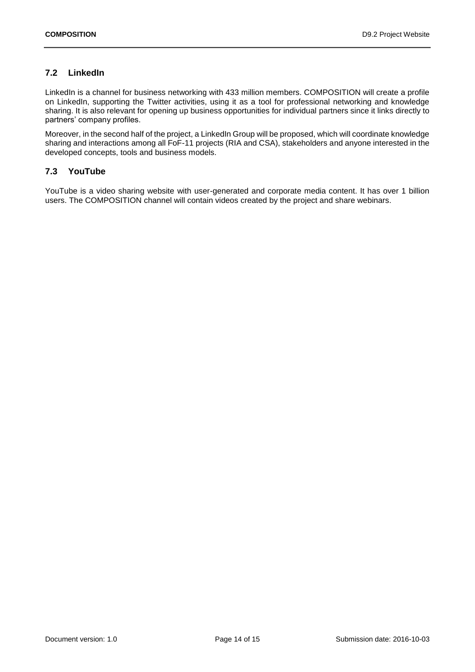# <span id="page-13-0"></span>**7.2 LinkedIn**

LinkedIn is a channel for business networking with 433 million members. COMPOSITION will create a profile on LinkedIn, supporting the Twitter activities, using it as a tool for professional networking and knowledge sharing. It is also relevant for opening up business opportunities for individual partners since it links directly to partners' company profiles.

Moreover, in the second half of the project, a LinkedIn Group will be proposed, which will coordinate knowledge sharing and interactions among all FoF-11 projects (RIA and CSA), stakeholders and anyone interested in the developed concepts, tools and business models.

### <span id="page-13-1"></span>**7.3 YouTube**

YouTube is a video sharing website with user-generated and corporate media content. It has over 1 billion users. The COMPOSITION channel will contain videos created by the project and share webinars.